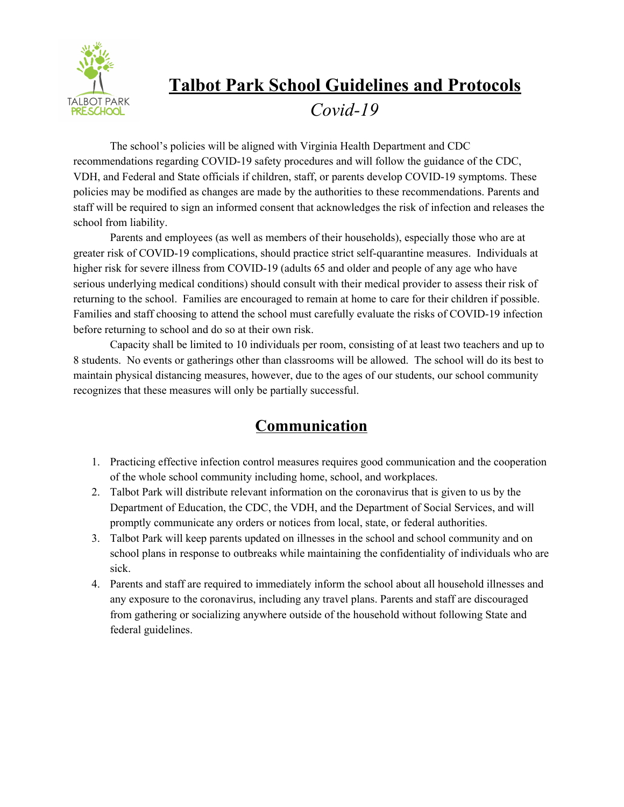

# **Talbot Park School Guidelines and Protocols** *Covid-19*

The school's policies will be aligned with Virginia Health Department and CDC recommendations regarding COVID-19 safety procedures and will follow the guidance of the CDC, VDH, and Federal and State officials if children, staff, or parents develop COVID-19 symptoms. These policies may be modified as changes are made by the authorities to these recommendations. Parents and staff will be required to sign an informed consent that acknowledges the risk of infection and releases the school from liability.

Parents and employees (as well as members of their households), especially those who are at greater risk of COVID-19 complications, should practice strict self-quarantine measures. Individuals at higher risk for severe illness from COVID-19 (adults 65 and older and people of any age who have serious underlying medical conditions) should consult with their medical provider to assess their risk of returning to the school. Families are encouraged to remain at home to care for their children if possible. Families and staff choosing to attend the school must carefully evaluate the risks of COVID-19 infection before returning to school and do so at their own risk.

Capacity shall be limited to 10 individuals per room, consisting of at least two teachers and up to 8 students. No events or gatherings other than classrooms will be allowed. The school will do its best to maintain physical distancing measures, however, due to the ages of our students, our school community recognizes that these measures will only be partially successful.

#### **Communication**

- 1. Practicing effective infection control measures requires good communication and the cooperation of the whole school community including home, school, and workplaces.
- 2. Talbot Park will distribute relevant information on the coronavirus that is given to us by the Department of Education, the CDC, the VDH, and the Department of Social Services, and will promptly communicate any orders or notices from local, state, or federal authorities.
- 3. Talbot Park will keep parents updated on illnesses in the school and school community and on school plans in response to outbreaks while maintaining the confidentiality of individuals who are sick.
- 4. Parents and staff are required to immediately inform the school about all household illnesses and any exposure to the coronavirus, including any travel plans. Parents and staff are discouraged from gathering or socializing anywhere outside of the household without following State and federal guidelines.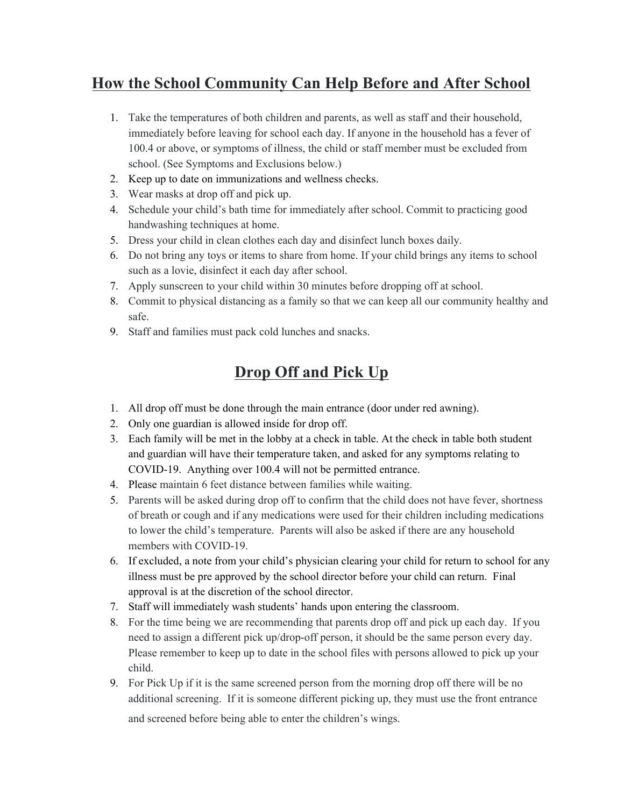### **How the School Community Can Help Before and After School**

- 1. Take the temperatures of both children and parents, as well as staff and their household, immediately before leaving for school each day. If anyone in the household has a fever of 100.4 or above, or symptoms of illness, the child or staff member must be excluded from school. (See Symptoms and Exclusions below.)
- 2. Keep up to date on immunizations and wellness checks.
- 3. Wear masks at drop off and pick up.
- 4. Schedule your child's bath time for immediately after school. Commit to practicing good handwashing techniques at home.
- 5. Dress your child in clean clothes each day and disinfect lunch boxes daily.
- 6. Do not bring any toys or items to share from home. If your child brings any items to school such as a lovie, disinfect it each day after school.
- 7. Apply sunscreen to your child within 30 minutes before dropping off at school.
- 8. Commit to physical distancing as a family so that we can keep all our community healthy and safe.
- 9. Staff and families must pack cold lunches and snacks.

# **Drop Off and Pick Up**

- 1. All drop off must be done through the main entrance (door under red awning).
- 2. Only one guardian is allowed inside for drop off.
- 3. Each family will be met in the lobby at a check in table. At the check in table both student and guardian will have their temperature taken, and asked for any symptoms relating to COVID-19. Anything over 100.4 will not be permitted entrance.
- 4. Please maintain 6 feet distance between families while waiting.
- 5. Parents will be asked during drop off to confirm that the child does not have fever, shortness of breath or cough and if any medications were used for their children including medications to lower the child's temperature. Parents will also be asked if there are any household members with COVID-19.
- 6. If excluded, a note from your child's physician clearing your child for return to school for any illness must be pre approved by the school director before your child can return. Final approval is at the discretion of the school director.
- 7. Staff will immediately wash students' hands upon entering the classroom.
- 8. For the time being we are recommending that parents drop off and pick up each day. If you need to assign a different pick up/drop-off person, it should be the same person every day. Please remember to keep up to date in the school files with persons allowed to pick up your child.
- 9. For Pick Up if it is the same screened person from the morning drop off there will be no additional screening. If it is someone different picking up, they must use the front entrance and screened before being able to enter the children's wings.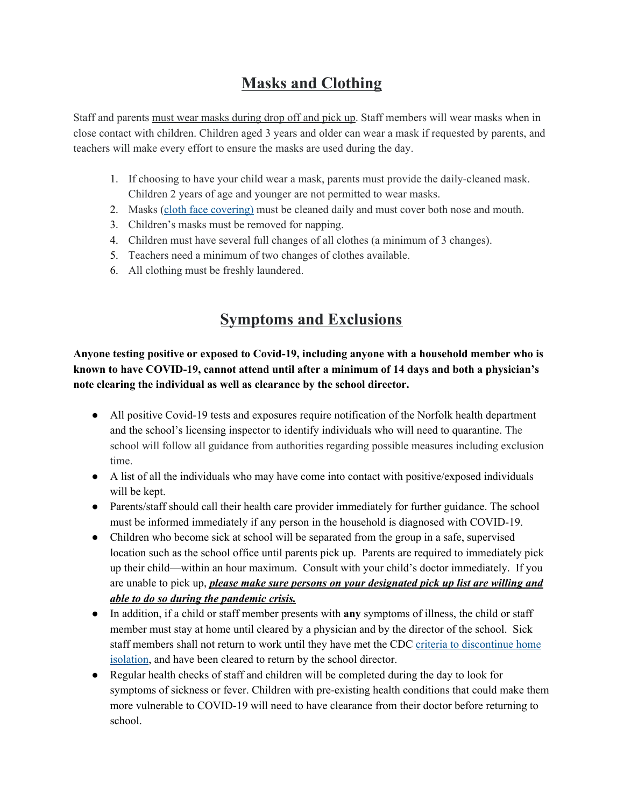# **Masks and Clothing**

Staff and parents must wear masks during drop off and pick up. Staff members will wear masks when in close contact with children. Children aged 3 years and older can wear a mask if requested by parents, and teachers will make every effort to ensure the masks are used during the day.

- 1. If choosing to have your child wear a mask, parents must provide the daily-cleaned mask. Children 2 years of age and younger are not permitted to wear masks.
- 2. Masks (cloth face [covering](https://www.cdc.gov/coronavirus/2019-ncov/prevent-getting-sick/diy-cloth-face-coverings.html)) must be cleaned daily and must cover both nose and mouth.
- 3. Children's masks must be removed for napping.
- 4. Children must have several full changes of all clothes (a minimum of 3 changes).
- 5. Teachers need a minimum of two changes of clothes available.
- 6. All clothing must be freshly laundered.

#### **Symptoms and Exclusions**

**Anyone testing positive or exposed to Covid-19, including anyone with a household member who is known to have COVID-19, cannot attend until after a minimum of 14 days and both a physician's note clearing the individual as well as clearance by the school director.**

- All positive Covid-19 tests and exposures require notification of the Norfolk health department and the school's licensing inspector to identify individuals who will need to quarantine. The school will follow all guidance from authorities regarding possible measures including exclusion time.
- A list of all the individuals who may have come into contact with positive/exposed individuals will be kept.
- Parents/staff should call their health care provider immediately for further guidance. The school must be informed immediately if any person in the household is diagnosed with COVID-19.
- Children who become sick at school will be separated from the group in a safe, supervised location such as the school office until parents pick up. Parents are required to immediately pick up their child—within an hour maximum. Consult with your child's doctor immediately. If you are unable to pick up, *please make sure persons on your designated pick up list are willing and able to do so during the pandemic crisis.*
- In addition, if a child or staff member presents with **any** symptoms of illness, the child or staff member must stay at home until cleared by a physician and by the director of the school. Sick staff members shall not return to work until they have met the CDC criteria to [discontinue](https://www.cdc.gov/coronavirus/2019-ncov/if-you-are-sick/steps-when-sick.html) home [isolation,](https://www.cdc.gov/coronavirus/2019-ncov/if-you-are-sick/steps-when-sick.html) and have been cleared to return by the school director.
- Regular health checks of staff and children will be completed during the day to look for symptoms of sickness or fever. Children with pre-existing health conditions that could make them more vulnerable to COVID-19 will need to have clearance from their doctor before returning to school.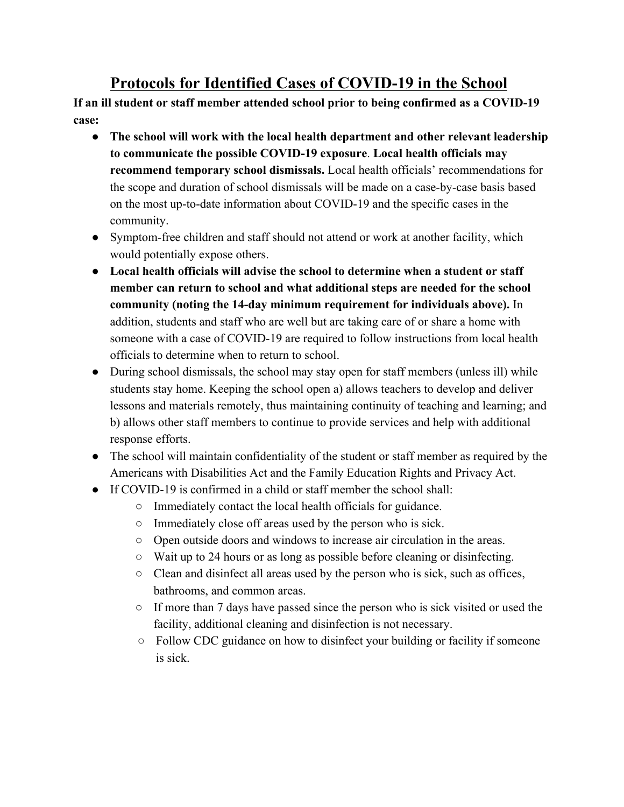### **Protocols for Identified Cases of COVID-19 in the School**

**If an ill student or staff member attended school prior to being confirmed as a COVID-19 case:**

- **The school will work with the local health department and other relevant leadership to communicate the possible COVID-19 exposure**. **Local health officials may recommend temporary school dismissals.** Local health officials' recommendations for the scope and duration of school dismissals will be made on a case-by-case basis based on the most up-to-date information about COVID-19 and the specific cases in the community.
- Symptom-free children and staff should not attend or work at another facility, which would potentially expose others.
- **Local health officials will advise the school to determine when a student or staff member can return to school and what additional steps are needed for the school community (noting the 14-day minimum requirement for individuals above).** In addition, students and staff who are well but are taking care of or share a home with someone with a case of COVID-19 are required to follow instructions from local health officials to determine when to return to school.
- During school dismissals, the school may stay open for staff members (unless ill) while students stay home. Keeping the school open a) allows teachers to develop and deliver lessons and materials remotely, thus maintaining continuity of teaching and learning; and b) allows other staff members to continue to provide services and help with additional response efforts.
- The school will maintain confidentiality of the student or staff member as required by the Americans with Disabilities Act and the Family Education Rights and Privacy Act.
- If COVID-19 is confirmed in a child or staff member the school shall:
	- Immediately contact the local health officials for guidance.
	- Immediately close off areas used by the person who is sick.
	- Open outside doors and windows to increase air circulation in the areas.
	- Wait up to 24 hours or as long as possible before cleaning or disinfecting.
	- Clean and disinfect all areas used by the person who is sick, such as offices, bathrooms, and common areas.
	- If more than 7 days have passed since the person who is sick visited or used the facility, additional cleaning and disinfection is not necessary.
	- Follow CDC guidance on how to disinfect your building or facility if someone is sick.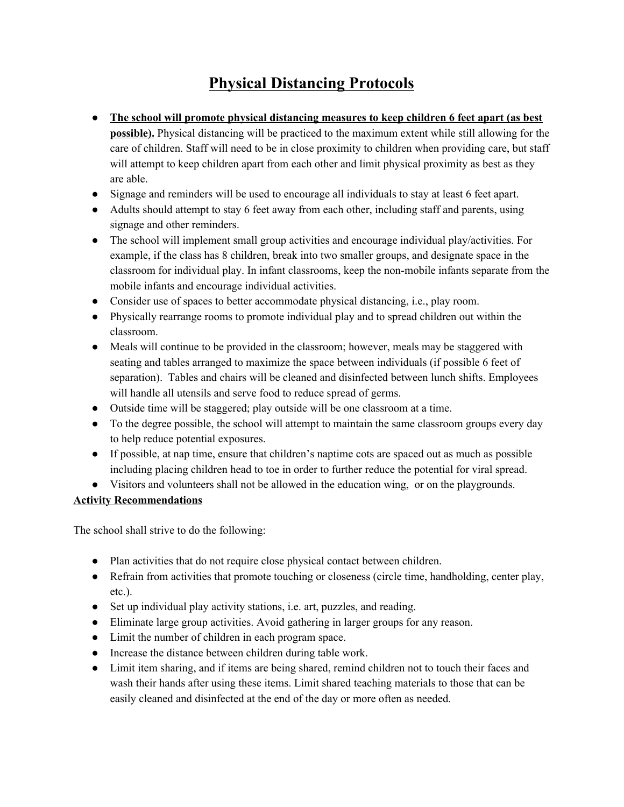# **Physical Distancing Protocols**

- **The school will promote physical distancing measures to keep children 6 feet apart (as best possible).** Physical distancing will be practiced to the maximum extent while still allowing for the care of children. Staff will need to be in close proximity to children when providing care, but staff will attempt to keep children apart from each other and limit physical proximity as best as they are able.
- Signage and reminders will be used to encourage all individuals to stay at least 6 feet apart.
- Adults should attempt to stay 6 feet away from each other, including staff and parents, using signage and other reminders.
- The school will implement small group activities and encourage individual play/activities. For example, if the class has 8 children, break into two smaller groups, and designate space in the classroom for individual play. In infant classrooms, keep the non-mobile infants separate from the mobile infants and encourage individual activities.
- Consider use of spaces to better accommodate physical distancing, i.e., play room.
- Physically rearrange rooms to promote individual play and to spread children out within the classroom.
- Meals will continue to be provided in the classroom; however, meals may be staggered with seating and tables arranged to maximize the space between individuals (if possible 6 feet of separation). Tables and chairs will be cleaned and disinfected between lunch shifts. Employees will handle all utensils and serve food to reduce spread of germs.
- Outside time will be staggered; play outside will be one classroom at a time.
- To the degree possible, the school will attempt to maintain the same classroom groups every day to help reduce potential exposures.
- If possible, at nap time, ensure that children's naptime cots are spaced out as much as possible including placing children head to toe in order to further reduce the potential for viral spread.
- Visitors and volunteers shall not be allowed in the education wing, or on the playgrounds.

#### **Activity Recommendations**

The school shall strive to do the following:

- Plan activities that do not require close physical contact between children.
- Refrain from activities that promote touching or closeness (circle time, handholding, center play, etc.).
- Set up individual play activity stations, i.e. art, puzzles, and reading.
- Eliminate large group activities. Avoid gathering in larger groups for any reason.
- Limit the number of children in each program space.
- Increase the distance between children during table work.
- Limit item sharing, and if items are being shared, remind children not to touch their faces and wash their hands after using these items. Limit shared teaching materials to those that can be easily cleaned and disinfected at the end of the day or more often as needed.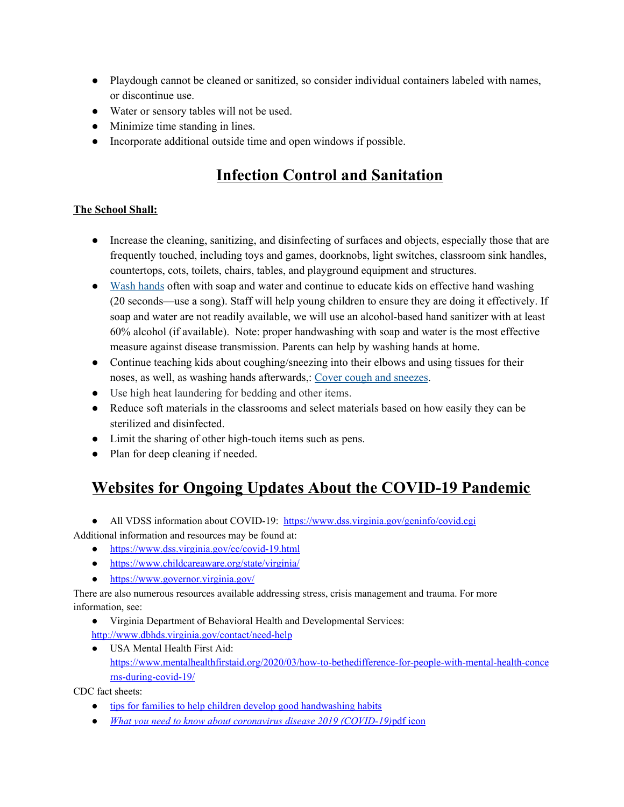- Playdough cannot be cleaned or sanitized, so consider individual containers labeled with names, or discontinue use.
- Water or sensory tables will not be used.
- Minimize time standing in lines.
- Incorporate additional outside time and open windows if possible.

# **Infection Control and Sanitation**

#### **The School Shall:**

- Increase the cleaning, sanitizing, and disinfecting of surfaces and objects, especially those that are frequently touched, including toys and games, doorknobs, light switches, classroom sink handles, countertops, cots, toilets, chairs, tables, and playground equipment and structures.
- Wash [hands](https://www.cdc.gov/handwashing/index.html) often with soap and water and continue to educate kids on effective hand washing (20 seconds—use a song). Staff will help young children to ensure they are doing it effectively. If soap and water are not readily available, we will use an alcohol-based hand sanitizer with at least 60% alcohol (if available). Note: proper handwashing with soap and water is the most effective measure against disease transmission. Parents can help by washing hands at home.
- Continue teaching kids about coughing/sneezing into their elbows and using tissues for their noses, as well, as washing hands afterwards,: Cover cough and [sneezes](https://www.cdc.gov/healthywater/hygiene/etiquette/coughing_sneezing.html).
- Use high heat laundering for bedding and other items.
- Reduce soft materials in the classrooms and select materials based on how easily they can be sterilized and disinfected.
- Limit the sharing of other high-touch items such as pens.
- Plan for deep cleaning if needed.

# **Websites for Ongoing Updates About the COVID-19 Pandemic**

- All VDSS information about COVID-19: <https://www.dss.virginia.gov/geninfo/covid.cgi>
- Additional information and resources may be found at:
	- <https://www.dss.virginia.gov/cc/covid-19.html>
	- <https://www.childcareaware.org/state/virginia/>
	- <https://www.governor.virginia.gov/>

There are also numerous resources available addressing stress, crisis management and trauma. For more information, see:

- Virginia Department of Behavioral Health and Developmental Services:
- <http://www.dbhds.virginia.gov/contact/need-help>
- USA Mental Health First Aid: [https://www.mentalhealthfirstaid.org/2020/03/how-to-bethedifference-for-people-with-mental-health-conce](https://www.mentalhealthfirstaid.org/2020/03/how-to-bethedifference-for-people-with-mental-health-concerns-during-covid-19/) [rns-during-covid-19/](https://www.mentalhealthfirstaid.org/2020/03/how-to-bethedifference-for-people-with-mental-health-concerns-during-covid-19/)

CDC fact sheets:

- tips for families to help children develop good [handwashing](https://www.cdc.gov/handwashing/handwashing-family.html) habits
- *What you need to know about coronavirus disease 2019 [\(COVID-19\)](https://www.cdc.gov/coronavirus/2019-ncov/downloads/2019-ncov-factsheet.pdf)*pdf [icon](https://www.cdc.gov/coronavirus/2019-ncov/downloads/2019-ncov-factsheet.pdf)